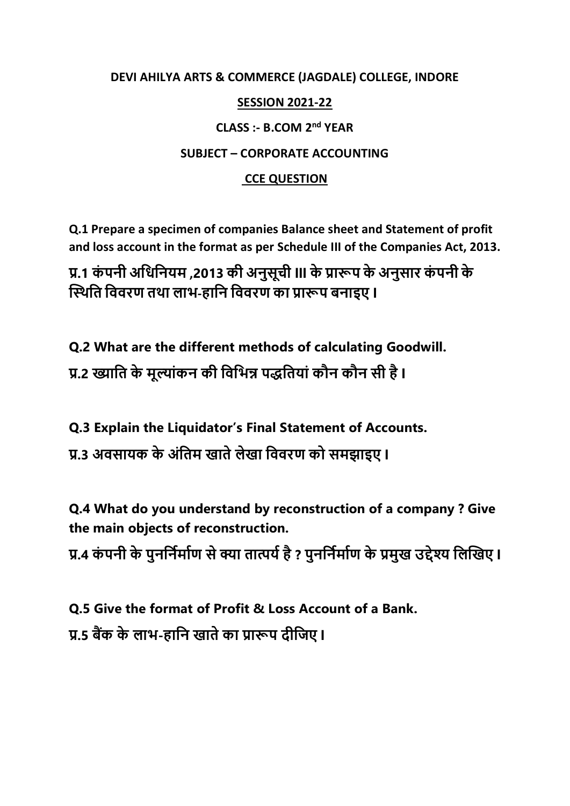# **DEVI AHILYA ARTS & COMMERCE (JAGDALE) COLLEGE, INDORE**

### **SESSION 2021-22**

# **CLASS :- B.COM 2nd YEAR**

# **SUBJECT – CORPORATE ACCOUNTING**

# **CCE QUESTION**

**Q.1 Prepare a specimen of companies Balance sheet and Statement of profit and loss account in the format as per Schedule III of the Companies Act, 2013.**

**प्र.1 कं पनी अधिधनयम ,2013 की अनुसूची lll केप्रारूप के अनुसार कं पनी के स्थिधि धििरण ििा लाभ-हाधन धििरण का प्रारूप बनाइए l**

**Q.2 What are the different methods of calculating Goodwill. प्र.2 ख्याधि के मूल्ांकन की धिधभन्न पद्धधियां कौन कौन सी हैl**

**Q.3 Explain the Liquidator's Final Statement of Accounts.**

**प्र.3 अिसायक के अंधिम खािेलेखा धििरण को समझाइए l**

**Q.4 What do you understand by reconstruction of a company ? Give the main objects of reconstruction.**

**प्र.4 कं पनी के पुनधनिमािण सेक्या िात्पयिहै? पुनधनिमािण के प्रमुख उद्देश्य धलस्खए l**

**Q.5 Give the format of Profit & Loss Account of a Bank. प्र.5 बैंक के लाभ-हाधन खािेका प्रारूप दीधिए l**